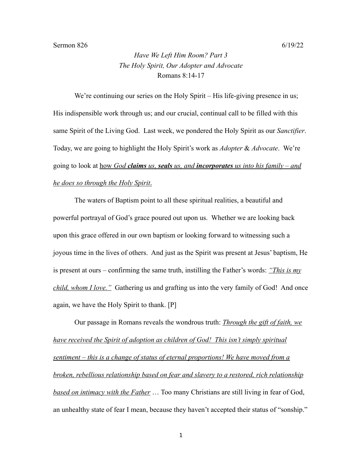## Sermon 826 6/19/22

*Have We Left Him Room? Part 3 The Holy Spirit, Our Adopter and Advocate* Romans 8:14-17

We're continuing our series on the Holy Spirit – His life-giving presence in us; His indispensible work through us; and our crucial, continual call to be filled with this same Spirit of the Living God. Last week, we pondered the Holy Spirit as our *Sanctifier*. Today, we are going to highlight the Holy Spirit's work as *Adopter* & *Advocate*. We're going to look at how *God claims us, seals us, and incorporates us into his family – and he does so through the Holy Spirit*.

The waters of Baptism point to all these spiritual realities, a beautiful and powerful portrayal of God's grace poured out upon us. Whether we are looking back upon this grace offered in our own baptism or looking forward to witnessing such a joyous time in the lives of others. And just as the Spirit was present at Jesus' baptism, He is present at ours – confirming the same truth, instilling the Father's words: *"This is my child, whom I love."* Gathering us and grafting us into the very family of God! And once again, we have the Holy Spirit to thank. [P]

Our passage in Romans reveals the wondrous truth: *Through the gift of faith, we have received the Spirit of adoption as children of God! This isn't simply spiritual sentiment – this is a change of status of eternal proportions! We have moved from a broken, rebellious relationship based on fear and slavery to a restored, rich relationship based on intimacy with the Father* … Too many Christians are still living in fear of God, an unhealthy state of fear I mean, because they haven't accepted their status of "sonship."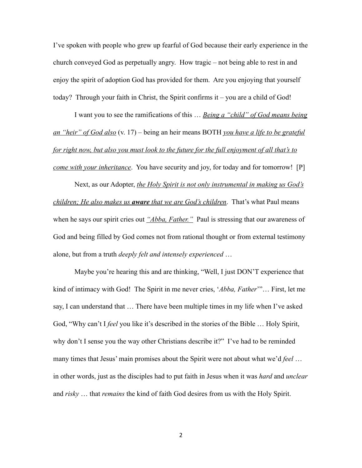I've spoken with people who grew up fearful of God because their early experience in the church conveyed God as perpetually angry. How tragic – not being able to rest in and enjoy the spirit of adoption God has provided for them. Are you enjoying that yourself today? Through your faith in Christ, the Spirit confirms it – you are a child of God!

I want you to see the ramifications of this … *Being a "child" of God means being an "heir" of God also* (v. 17) – being an heir means BOTH *you have a life to be grateful for right now, but also you must look to the future for the full enjoyment of all that's to come with your inheritance*. You have security and joy, for today and for tomorrow! [P]

Next, as our Adopter, *the Holy Spirit is not only instrumental in making us God's children; He also makes us aware that we are God's children*. That's what Paul means when he says our spirit cries out *"Abba, Father."* Paul is stressing that our awareness of God and being filled by God comes not from rational thought or from external testimony alone, but from a truth *deeply felt and intensely experienced* …

Maybe you're hearing this and are thinking, "Well, I just DON'T experience that kind of intimacy with God! The Spirit in me never cries, '*Abba, Father*'"… First, let me say, I can understand that … There have been multiple times in my life when I've asked God, "Why can't I *feel* you like it's described in the stories of the Bible … Holy Spirit, why don't I sense you the way other Christians describe it?" I've had to be reminded many times that Jesus' main promises about the Spirit were not about what we'd *feel* … in other words, just as the disciples had to put faith in Jesus when it was *hard* and *unclear* and *risky* … that *remains* the kind of faith God desires from us with the Holy Spirit.

2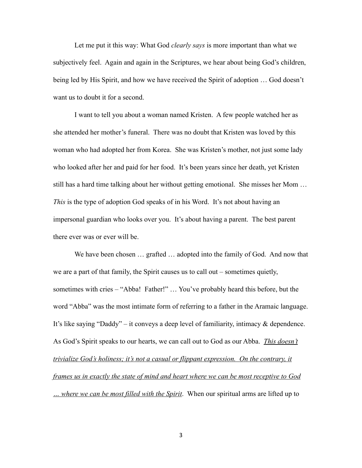Let me put it this way: What God *clearly says* is more important than what we subjectively feel. Again and again in the Scriptures, we hear about being God's children, being led by His Spirit, and how we have received the Spirit of adoption … God doesn't want us to doubt it for a second.

I want to tell you about a woman named Kristen. A few people watched her as she attended her mother's funeral. There was no doubt that Kristen was loved by this woman who had adopted her from Korea. She was Kristen's mother, not just some lady who looked after her and paid for her food. It's been years since her death, yet Kristen still has a hard time talking about her without getting emotional. She misses her Mom … *This* is the type of adoption God speaks of in his Word. It's not about having an impersonal guardian who looks over you. It's about having a parent. The best parent there ever was or ever will be.

We have been chosen ... grafted ... adopted into the family of God. And now that we are a part of that family, the Spirit causes us to call out – sometimes quietly, sometimes with cries – "Abba! Father!" ... You've probably heard this before, but the word "Abba" was the most intimate form of referring to a father in the Aramaic language. It's like saying "Daddy" – it conveys a deep level of familiarity, intimacy & dependence. As God's Spirit speaks to our hearts, we can call out to God as our Abba. *This doesn't trivialize God's holiness; it's not a casual or flippant expression. On the contrary, it frames us in exactly the state of mind and heart where we can be most receptive to God … where we can be most filled with the Spirit*. When our spiritual arms are lifted up to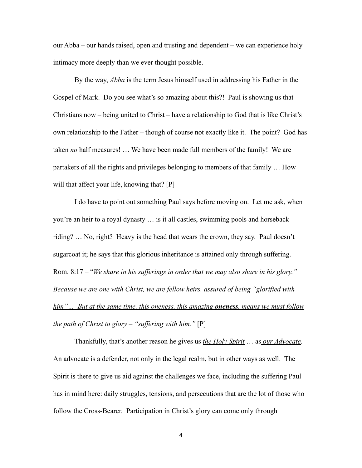our Abba – our hands raised, open and trusting and dependent – we can experience holy intimacy more deeply than we ever thought possible.

By the way, *Abba* is the term Jesus himself used in addressing his Father in the Gospel of Mark. Do you see what's so amazing about this?! Paul is showing us that Christians now – being united to Christ – have a relationship to God that is like Christ's own relationship to the Father – though of course not exactly like it. The point? God has taken *no* half measures! … We have been made full members of the family! We are partakers of all the rights and privileges belonging to members of that family … How will that affect your life, knowing that? [P]

I do have to point out something Paul says before moving on. Let me ask, when you're an heir to a royal dynasty … is it all castles, swimming pools and horseback riding? … No, right? Heavy is the head that wears the crown, they say. Paul doesn't sugarcoat it; he says that this glorious inheritance is attained only through suffering. Rom. 8:17 – "*We share in his sufferings in order that we may also share in his glory." Because we are one with Christ, we are fellow heirs, assured of being "glorified with him"… But at the same time, this oneness, this amazing oneness, means we must follow the path of Christ to glory – "suffering with him."* [P]

Thankfully, that's another reason he gives us *the Holy Spirit* … as *our Advocate*. An advocate is a defender, not only in the legal realm, but in other ways as well. The Spirit is there to give us aid against the challenges we face, including the suffering Paul has in mind here: daily struggles, tensions, and persecutions that are the lot of those who follow the Cross-Bearer. Participation in Christ's glory can come only through

4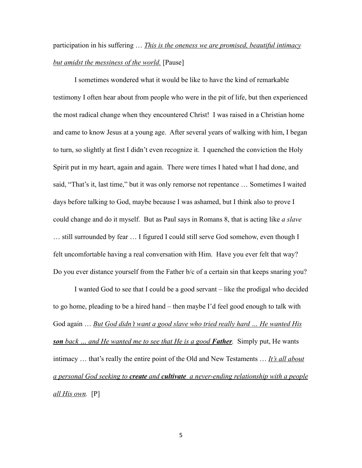## participation in his suffering … *This is the oneness we are promised, beautiful intimacy but amidst the messiness of the world.* [Pause]

I sometimes wondered what it would be like to have the kind of remarkable testimony I often hear about from people who were in the pit of life, but then experienced the most radical change when they encountered Christ! I was raised in a Christian home and came to know Jesus at a young age. After several years of walking with him, I began to turn, so slightly at first I didn't even recognize it. I quenched the conviction the Holy Spirit put in my heart, again and again. There were times I hated what I had done, and said, "That's it, last time," but it was only remorse not repentance … Sometimes I waited days before talking to God, maybe because I was ashamed, but I think also to prove I could change and do it myself. But as Paul says in Romans 8, that is acting like *a slave* … still surrounded by fear … I figured I could still serve God somehow, even though I felt uncomfortable having a real conversation with Him. Have you ever felt that way? Do you ever distance yourself from the Father b/c of a certain sin that keeps snaring you?

I wanted God to see that I could be a good servant – like the prodigal who decided to go home, pleading to be a hired hand – then maybe I'd feel good enough to talk with God again … *But God didn't want a good slave who tried really hard … He wanted His son back … and He wanted me to see that He is a good Father.* Simply put, He wants intimacy … that's really the entire point of the Old and New Testaments … *It's all about a personal God seeking to create and cultivate a never-ending relationship with a people all His own.* [P]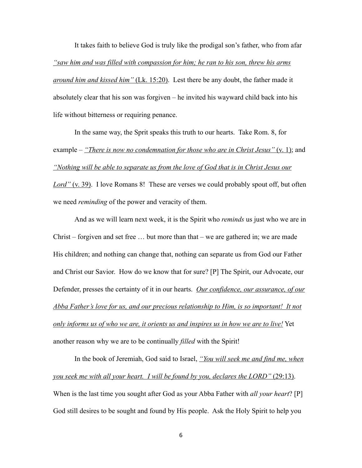It takes faith to believe God is truly like the prodigal son's father, who from afar *"saw him and was filled with compassion for him; he ran to his son, threw his arms around him and kissed him"* (Lk. 15:20). Lest there be any doubt, the father made it absolutely clear that his son was forgiven – he invited his wayward child back into his life without bitterness or requiring penance.

In the same way, the Sprit speaks this truth to our hearts. Take Rom. 8, for example – *"There is now no condemnation for those who are in Christ Jesus"* (v. 1); and *"Nothing will be able to separate us from the love of God that is in Christ Jesus our Lord"* (v. 39). I love Romans 8!These are verses we could probably spout off, but often we need *reminding* of the power and veracity of them.

And as we will learn next week, it is the Spirit who *reminds* us just who we are in Christ – forgiven and set free … but more than that – we are gathered in; we are made His children; and nothing can change that, nothing can separate us from God our Father and Christ our Savior. How do we know that for sure? [P] The Spirit, our Advocate, our Defender, presses the certainty of it in our hearts. *Our confidence, our assurance, of our Abba Father's love for us, and our precious relationship to Him, is so important! It not only informs us of who we are, it orients us and inspires us in how we are to live!* Yet another reason why we are to be continually *filled* with the Spirit!

In the book of Jeremiah, God said to Israel, *"You will seek me and find me, when you seek me with all your heart. I will be found by you, declares the LORD"* (29:13). When is the last time you sought after God as your Abba Father with *all your heart*? [P] God still desires to be sought and found by His people. Ask the Holy Spirit to help you